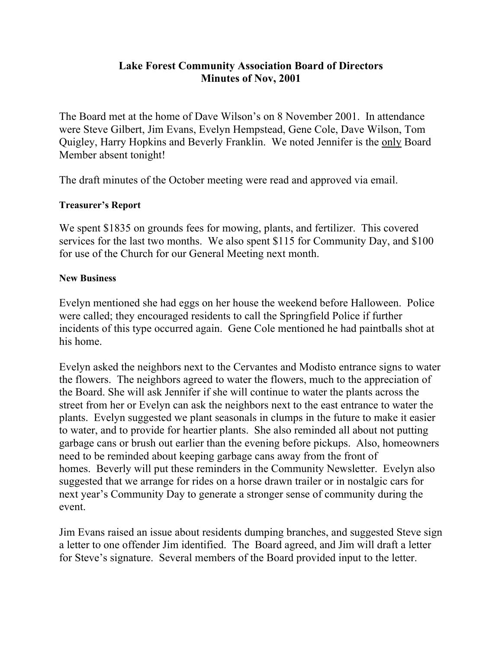## **Lake Forest Community Association Board of Directors Minutes of Nov, 2001**

The Board met at the home of Dave Wilson's on 8 November 2001. In attendance were Steve Gilbert, Jim Evans, Evelyn Hempstead, Gene Cole, Dave Wilson, Tom Quigley, Harry Hopkins and Beverly Franklin. We noted Jennifer is the only Board Member absent tonight!

The draft minutes of the October meeting were read and approved via email.

## **Treasurer's Report**

We spent \$1835 on grounds fees for mowing, plants, and fertilizer. This covered services for the last two months. We also spent \$115 for Community Day, and \$100 for use of the Church for our General Meeting next month.

## **New Business**

Evelyn mentioned she had eggs on her house the weekend before Halloween. Police were called; they encouraged residents to call the Springfield Police if further incidents of this type occurred again. Gene Cole mentioned he had paintballs shot at his home.

Evelyn asked the neighbors next to the Cervantes and Modisto entrance signs to water the flowers. The neighbors agreed to water the flowers, much to the appreciation of the Board. She will ask Jennifer if she will continue to water the plants across the street from her or Evelyn can ask the neighbors next to the east entrance to water the plants. Evelyn suggested we plant seasonals in clumps in the future to make it easier to water, and to provide for heartier plants. She also reminded all about not putting garbage cans or brush out earlier than the evening before pickups. Also, homeowners need to be reminded about keeping garbage cans away from the front of homes. Beverly will put these reminders in the Community Newsletter. Evelyn also suggested that we arrange for rides on a horse drawn trailer or in nostalgic cars for next year's Community Day to generate a stronger sense of community during the event.

Jim Evans raised an issue about residents dumping branches, and suggested Steve sign a letter to one offender Jim identified. The Board agreed, and Jim will draft a letter for Steve's signature. Several members of the Board provided input to the letter.